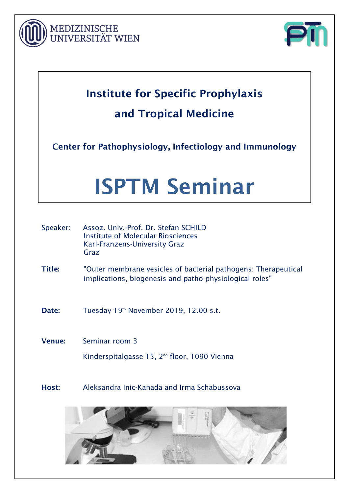



## Institute for Specific Prophylaxis and Tropical Medicine

Center for Pathophysiology, Infectiology and Immunology

# ISPTM Seminar

| Speaker:      | Assoz. Univ.-Prof. Dr. Stefan SCHILD<br>Institute of Molecular Biosciences<br>Karl-Franzens-University Graz<br>Graz       |  |  |  |  |
|---------------|---------------------------------------------------------------------------------------------------------------------------|--|--|--|--|
| <b>Title:</b> | "Outer membrane vesicles of bacterial pathogens: Therapeutical<br>implications, biogenesis and patho-physiological roles" |  |  |  |  |
| Date:         | Tuesday 19th November 2019, 12.00 s.t.                                                                                    |  |  |  |  |
| <b>Venue:</b> | Seminar room 3                                                                                                            |  |  |  |  |
|               | Kinderspitalgasse 15, 2 <sup>nd</sup> floor, 1090 Vienna                                                                  |  |  |  |  |

Host: Aleksandra Inic-Kanada and Irma Schabussova